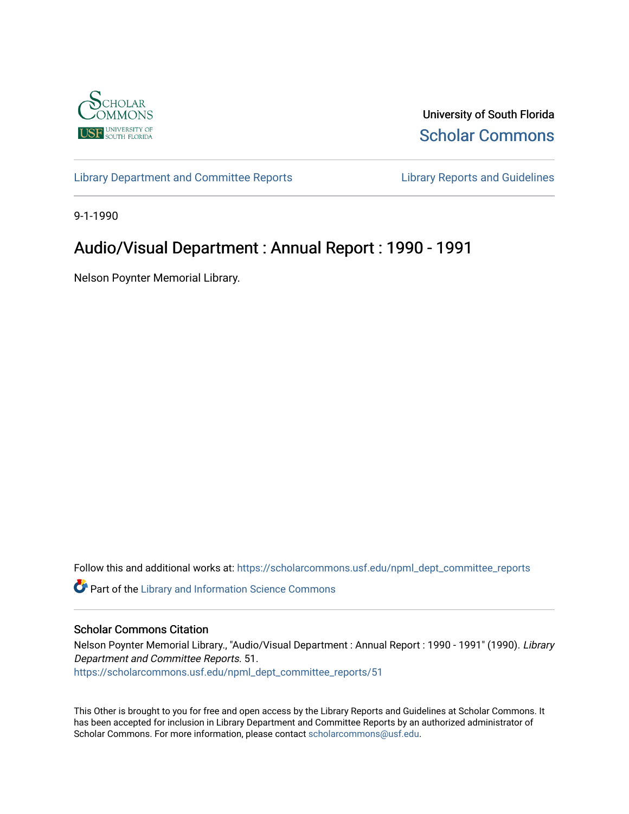

University of South Florida [Scholar Commons](https://scholarcommons.usf.edu/) 

[Library Department and Committee Reports](https://scholarcommons.usf.edu/npml_dept_committee_reports) [Library Reports and Guidelines](https://scholarcommons.usf.edu/npml_reports_guidelines_instruct_materials) 

9-1-1990

# Audio/Visual Department : Annual Report : 1990 - 1991

Nelson Poynter Memorial Library.

Follow this and additional works at: [https://scholarcommons.usf.edu/npml\\_dept\\_committee\\_reports](https://scholarcommons.usf.edu/npml_dept_committee_reports?utm_source=scholarcommons.usf.edu%2Fnpml_dept_committee_reports%2F51&utm_medium=PDF&utm_campaign=PDFCoverPages)

Part of the [Library and Information Science Commons](http://network.bepress.com/hgg/discipline/1018?utm_source=scholarcommons.usf.edu%2Fnpml_dept_committee_reports%2F51&utm_medium=PDF&utm_campaign=PDFCoverPages) 

#### Scholar Commons Citation

Nelson Poynter Memorial Library., "Audio/Visual Department : Annual Report : 1990 - 1991" (1990). Library Department and Committee Reports. 51. [https://scholarcommons.usf.edu/npml\\_dept\\_committee\\_reports/51](https://scholarcommons.usf.edu/npml_dept_committee_reports/51?utm_source=scholarcommons.usf.edu%2Fnpml_dept_committee_reports%2F51&utm_medium=PDF&utm_campaign=PDFCoverPages) 

This Other is brought to you for free and open access by the Library Reports and Guidelines at Scholar Commons. It has been accepted for inclusion in Library Department and Committee Reports by an authorized administrator of Scholar Commons. For more information, please contact [scholarcommons@usf.edu](mailto:scholarcommons@usf.edu).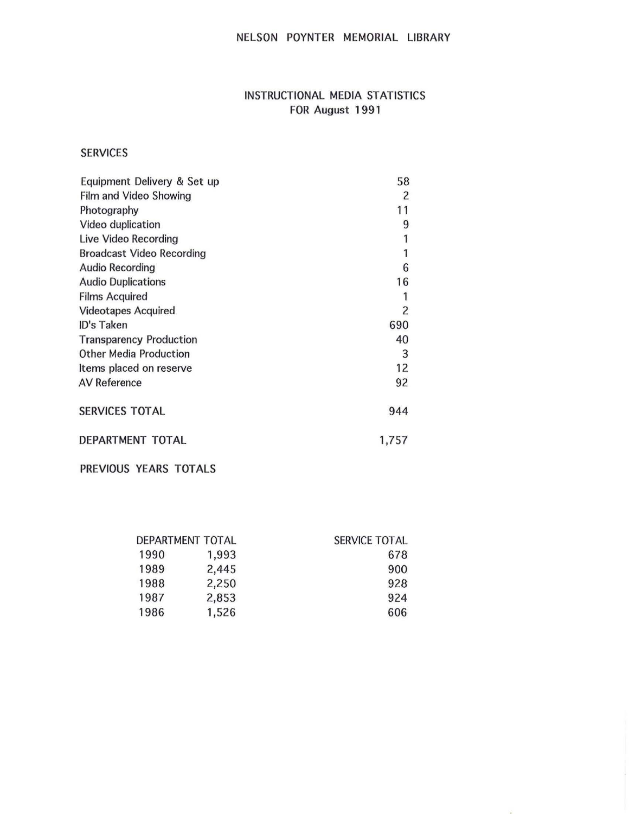# NELSON POYNTER MEMORIAL LIBRARY

# INSTRUCTIONAL MEDIA STATISTICS FOR August 1991

### SERVICES

| Equipment Delivery & Set up      | 58             |
|----------------------------------|----------------|
| Film and Video Showing           | $\overline{c}$ |
| Photography                      | 11             |
| Video duplication                | 9              |
| Live Video Recording             | 1              |
| <b>Broadcast Video Recording</b> | 1              |
| <b>Audio Recording</b>           | 6              |
| <b>Audio Duplications</b>        | 16             |
| <b>Films Acquired</b>            |                |
| <b>Videotapes Acquired</b>       | 2              |
| ID's Taken                       | 690            |
| <b>Transparency Production</b>   | 40             |
| <b>Other Media Production</b>    | 3              |
| Items placed on reserve          | 12             |
| <b>AV Reference</b>              | 92             |
| <b>SERVICES TOTAL</b>            | 944            |
| DEPARTMENT TOTAL                 | 1,757          |
|                                  |                |

PREVIOUS YEARS TOTALS

| DEPARTMENT TOTAL |       | <b>SERVICE TOTAL</b> |  |
|------------------|-------|----------------------|--|
| 1990             | 1,993 | 678                  |  |
| 1989             | 2,445 | 900                  |  |
| 1988             | 2,250 | 928                  |  |
| 1987             | 2,853 | 924                  |  |
| 1986             | 1,526 | 606                  |  |